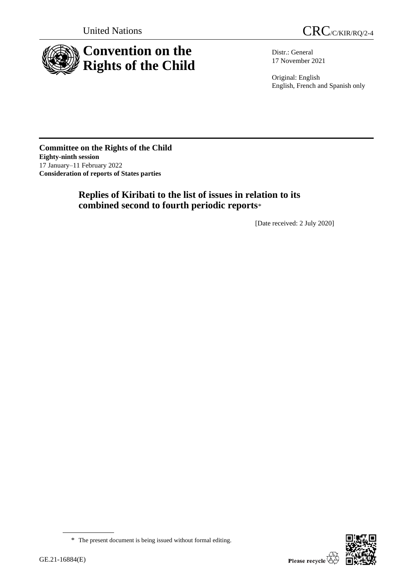



Distr.: General 17 November 2021

Original: English English, French and Spanish only

**Committee on the Rights of the Child Eighty-ninth session** 17 January–11 February 2022 **Consideration of reports of States parties**

# **Replies of Kiribati to the list of issues in relation to its combined second to fourth periodic reports**\*

[Date received: 2 July 2020]



<sup>\*</sup> The present document is being issued without formal editing.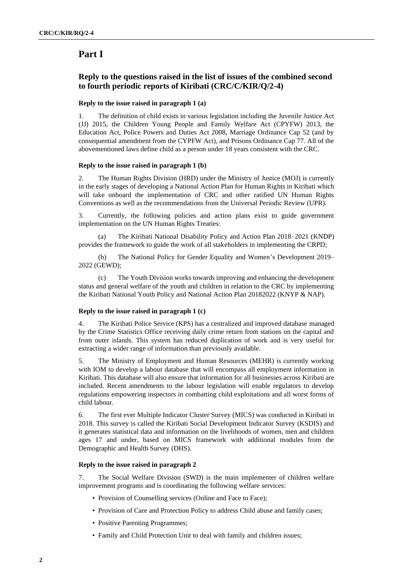# **Part I**

## **Reply to the questions raised in the list of issues of the combined second to fourth periodic reports of Kiribati (CRC/C/KIR/Q/2-4)**

## **Reply to the issue raised in paragraph 1 (a)**

1. The definition of child exists in various legislation including the Juvenile Justice Act (JJ) 2015, the Children Young People and Family Welfare Act (CPYFW) 2013, the Education Act, Police Powers and Duties Act 2008, Marriage Ordinance Cap 52 (and by consequential amendment from the CYPFW Act), and Prisons Ordinance Cap 77. All of the abovementioned laws define child as a person under 18 years consistent with the CRC.

## **Reply to the issue raised in paragraph 1 (b)**

2. The Human Rights Division (HRD) under the Ministry of Justice (MOJ) is currently in the early stages of developing a National Action Plan for Human Rights in Kiribati which will take onboard the implementation of CRC and other ratified UN Human Rights Conventions as well as the recommendations from the Universal Periodic Review (UPR).

3. Currently, the following policies and action plans exist to guide government implementation on the UN Human Rights Treaties:

(a) The Kiribati National Disability Policy and Action Plan 2018–2021 (KNDP) provides the framework to guide the work of all stakeholders in implementing the CRPD;

(b) The National Policy for Gender Equality and Women's Development 2019– 2022 (GEWD);

(c) The Youth Division works towards improving and enhancing the development status and general welfare of the youth and children in relation to the CRC by implementing the Kiribati National Youth Policy and National Action Plan 20182022 (KNYP & NAP).

## **Reply to the issue raised in paragraph 1 (c)**

4. The Kiribati Police Service (KPS) has a centralized and improved database managed by the Crime Statistics Office receiving daily crime return from stations on the capital and from outer islands. This system has reduced duplication of work and is very useful for extracting a wider range of information than previously available.

5. The Ministry of Employment and Human Resources (MEHR) is currently working with IOM to develop a labour database that will encompass all employment information in Kiribati. This database will also ensure that information for all businesses across Kiribati are included. Recent amendments to the labour legislation will enable regulators to develop regulations empowering inspectors in combatting child exploitations and all worst forms of child labour.

6. The first ever Multiple Indicator Cluster Survey (MICS) was conducted in Kiribati in 2018. This survey is called the Kiribati Social Development Indicator Survey (KSDIS) and it generates statistical data and information on the livelihoods of women, men and children ages 17 and under, based on MICS framework with additional modules from the Demographic and Health Survey (DHS).

## **Reply to the issue raised in paragraph 2**

7. The Social Welfare Division (SWD) is the main implementer of children welfare improvement programs and is coordinating the following welfare services:

- Provision of Counselling services (Online and Face to Face);
- Provision of Care and Protection Policy to address Child abuse and family cases;
- Positive Parenting Programmes;
- Family and Child Protection Unit to deal with family and children issues;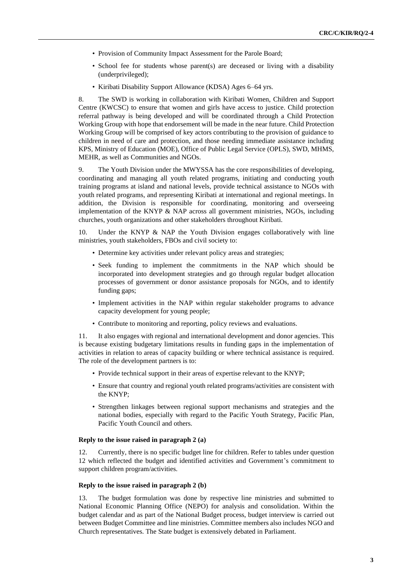- Provision of Community Impact Assessment for the Parole Board;
- School fee for students whose parent(s) are deceased or living with a disability (underprivileged);
- Kiribati Disability Support Allowance (KDSA) Ages 6–64 yrs.

8. The SWD is working in collaboration with Kiribati Women, Children and Support Centre (KWCSC) to ensure that women and girls have access to justice. Child protection referral pathway is being developed and will be coordinated through a Child Protection Working Group with hope that endorsement will be made in the near future. Child Protection Working Group will be comprised of key actors contributing to the provision of guidance to children in need of care and protection, and those needing immediate assistance including KPS, Ministry of Education (MOE), Office of Public Legal Service (OPLS), SWD, MHMS, MEHR, as well as Communities and NGOs.

9. The Youth Division under the MWYSSA has the core responsibilities of developing, coordinating and managing all youth related programs, initiating and conducting youth training programs at island and national levels, provide technical assistance to NGOs with youth related programs, and representing Kiribati at international and regional meetings. In addition, the Division is responsible for coordinating, monitoring and overseeing implementation of the KNYP & NAP across all government ministries, NGOs, including churches, youth organizations and other stakeholders throughout Kiribati.

10. Under the KNYP & NAP the Youth Division engages collaboratively with line ministries, youth stakeholders, FBOs and civil society to:

- Determine key activities under relevant policy areas and strategies;
- Seek funding to implement the commitments in the NAP which should be incorporated into development strategies and go through regular budget allocation processes of government or donor assistance proposals for NGOs, and to identify funding gaps;
- Implement activities in the NAP within regular stakeholder programs to advance capacity development for young people;
- Contribute to monitoring and reporting, policy reviews and evaluations.

11. It also engages with regional and international development and donor agencies. This is because existing budgetary limitations results in funding gaps in the implementation of activities in relation to areas of capacity building or where technical assistance is required. The role of the development partners is to:

- Provide technical support in their areas of expertise relevant to the KNYP;
- Ensure that country and regional youth related programs/activities are consistent with the KNYP;
- Strengthen linkages between regional support mechanisms and strategies and the national bodies, especially with regard to the Pacific Youth Strategy, Pacific Plan, Pacific Youth Council and others.

#### **Reply to the issue raised in paragraph 2 (a)**

12. Currently, there is no specific budget line for children. Refer to tables under question 12 which reflected the budget and identified activities and Government's commitment to support children program/activities.

#### **Reply to the issue raised in paragraph 2 (b)**

13. The budget formulation was done by respective line ministries and submitted to National Economic Planning Office (NEPO) for analysis and consolidation. Within the budget calendar and as part of the National Budget process, budget interview is carried out between Budget Committee and line ministries. Committee members also includes NGO and Church representatives. The State budget is extensively debated in Parliament.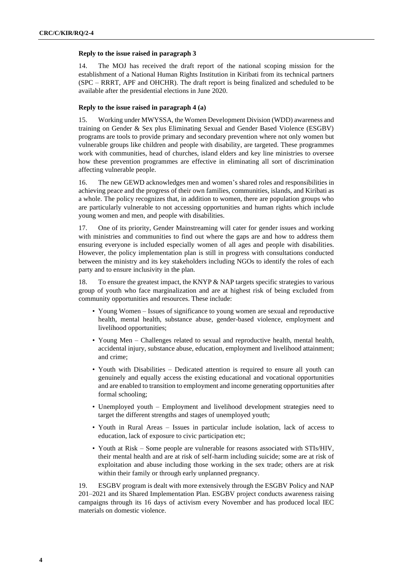#### **Reply to the issue raised in paragraph 3**

14. The MOJ has received the draft report of the national scoping mission for the establishment of a National Human Rights Institution in Kiribati from its technical partners (SPC – RRRT, APF and OHCHR). The draft report is being finalized and scheduled to be available after the presidential elections in June 2020.

#### **Reply to the issue raised in paragraph 4 (a)**

15. Working under MWYSSA, the Women Development Division (WDD) awareness and training on Gender & Sex plus Eliminating Sexual and Gender Based Violence (ESGBV) programs are tools to provide primary and secondary prevention where not only women but vulnerable groups like children and people with disability, are targeted. These programmes work with communities, head of churches, island elders and key line ministries to oversee how these prevention programmes are effective in eliminating all sort of discrimination affecting vulnerable people.

16. The new GEWD acknowledges men and women's shared roles and responsibilities in achieving peace and the progress of their own families, communities, islands, and Kiribati as a whole. The policy recognizes that, in addition to women, there are population groups who are particularly vulnerable to not accessing opportunities and human rights which include young women and men, and people with disabilities.

17. One of its priority, Gender Mainstreaming will cater for gender issues and working with ministries and communities to find out where the gaps are and how to address them ensuring everyone is included especially women of all ages and people with disabilities. However, the policy implementation plan is still in progress with consultations conducted between the ministry and its key stakeholders including NGOs to identify the roles of each party and to ensure inclusivity in the plan.

18. To ensure the greatest impact, the KNYP & NAP targets specific strategies to various group of youth who face marginalization and are at highest risk of being excluded from community opportunities and resources. These include:

- Young Women Issues of significance to young women are sexual and reproductive health, mental health, substance abuse, gender-based violence, employment and livelihood opportunities;
- Young Men Challenges related to sexual and reproductive health, mental health, accidental injury, substance abuse, education, employment and livelihood attainment; and crime;
- Youth with Disabilities Dedicated attention is required to ensure all youth can genuinely and equally access the existing educational and vocational opportunities and are enabled to transition to employment and income generating opportunities after formal schooling;
- Unemployed youth Employment and livelihood development strategies need to target the different strengths and stages of unemployed youth;
- Youth in Rural Areas Issues in particular include isolation, lack of access to education, lack of exposure to civic participation etc;
- Youth at Risk Some people are vulnerable for reasons associated with STIs/HIV, their mental health and are at risk of self-harm including suicide; some are at risk of exploitation and abuse including those working in the sex trade; others are at risk within their family or through early unplanned pregnancy.

19. ESGBV program is dealt with more extensively through the ESGBV Policy and NAP 201–2021 and its Shared Implementation Plan. ESGBV project conducts awareness raising campaigns through its 16 days of activism every November and has produced local IEC materials on domestic violence.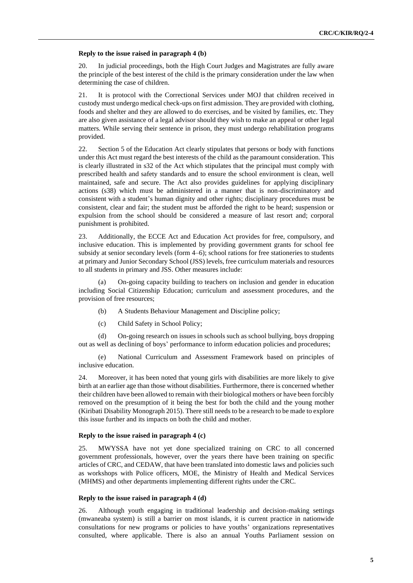#### **Reply to the issue raised in paragraph 4 (b)**

20. In judicial proceedings, both the High Court Judges and Magistrates are fully aware the principle of the best interest of the child is the primary consideration under the law when determining the case of children.

21. It is protocol with the Correctional Services under MOJ that children received in custody must undergo medical check-ups on first admission. They are provided with clothing, foods and shelter and they are allowed to do exercises, and be visited by families, etc. They are also given assistance of a legal advisor should they wish to make an appeal or other legal matters. While serving their sentence in prison, they must undergo rehabilitation programs provided.

22. Section 5 of the Education Act clearly stipulates that persons or body with functions under this Act must regard the best interests of the child as the paramount consideration. This is clearly illustrated in s32 of the Act which stipulates that the principal must comply with prescribed health and safety standards and to ensure the school environment is clean, well maintained, safe and secure. The Act also provides guidelines for applying disciplinary actions (s38) which must be administered in a manner that is non-discriminatory and consistent with a student's human dignity and other rights; disciplinary procedures must be consistent, clear and fair; the student must be afforded the right to be heard; suspension or expulsion from the school should be considered a measure of last resort and; corporal punishment is prohibited.

23. Additionally, the ECCE Act and Education Act provides for free, compulsory, and inclusive education. This is implemented by providing government grants for school fee subsidy at senior secondary levels (form 4–6); school rations for free stationeries to students at primary and Junior Secondary School (JSS) levels, free curriculum materials and resources to all students in primary and JSS. Other measures include:

(a) On-going capacity building to teachers on inclusion and gender in education including Social Citizenship Education; curriculum and assessment procedures, and the provision of free resources;

- (b) A Students Behaviour Management and Discipline policy;
- (c) Child Safety in School Policy;

(d) On-going research on issues in schools such as school bullying, boys dropping out as well as declining of boys' performance to inform education policies and procedures;

(e) National Curriculum and Assessment Framework based on principles of inclusive education.

24. Moreover, it has been noted that young girls with disabilities are more likely to give birth at an earlier age than those without disabilities. Furthermore, there is concerned whether their children have been allowed to remain with their biological mothers or have been forcibly removed on the presumption of it being the best for both the child and the young mother (Kiribati Disability Monograph 2015). There still needs to be a research to be made to explore this issue further and its impacts on both the child and mother.

#### **Reply to the issue raised in paragraph 4 (c)**

25. MWYSSA have not yet done specialized training on CRC to all concerned government professionals, however, over the years there have been training on specific articles of CRC, and CEDAW, that have been translated into domestic laws and policies such as workshops with Police officers, MOE, the Ministry of Health and Medical Services (MHMS) and other departments implementing different rights under the CRC.

#### **Reply to the issue raised in paragraph 4 (d)**

26. Although youth engaging in traditional leadership and decision-making settings (mwaneaba system) is still a barrier on most islands, it is current practice in nationwide consultations for new programs or policies to have youths' organizations representatives consulted, where applicable. There is also an annual Youths Parliament session on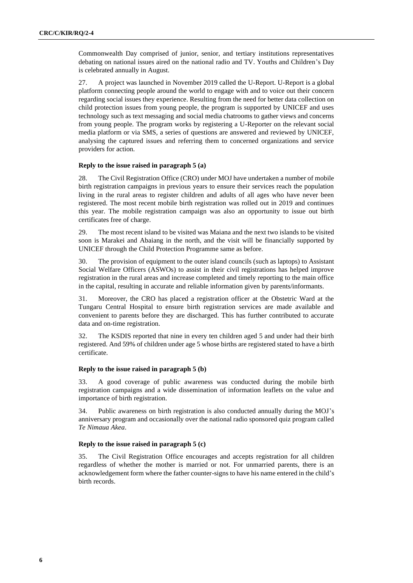Commonwealth Day comprised of junior, senior, and tertiary institutions representatives debating on national issues aired on the national radio and TV. Youths and Children's Day is celebrated annually in August.

27. A project was launched in November 2019 called the U-Report. U-Report is a global platform connecting people around the world to engage with and to voice out their concern regarding social issues they experience. Resulting from the need for better data collection on child protection issues from young people, the program is supported by UNICEF and uses technology such as text messaging and social media chatrooms to gather views and concerns from young people. The program works by registering a U-Reporter on the relevant social media platform or via SMS, a series of questions are answered and reviewed by UNICEF, analysing the captured issues and referring them to concerned organizations and service providers for action.

## **Reply to the issue raised in paragraph 5 (a)**

28. The Civil Registration Office (CRO) under MOJ have undertaken a number of mobile birth registration campaigns in previous years to ensure their services reach the population living in the rural areas to register children and adults of all ages who have never been registered. The most recent mobile birth registration was rolled out in 2019 and continues this year. The mobile registration campaign was also an opportunity to issue out birth certificates free of charge.

29. The most recent island to be visited was Maiana and the next two islands to be visited soon is Marakei and Abaiang in the north, and the visit will be financially supported by UNICEF through the Child Protection Programme same as before.

30. The provision of equipment to the outer island councils (such as laptops) to Assistant Social Welfare Officers (ASWOs) to assist in their civil registrations has helped improve registration in the rural areas and increase completed and timely reporting to the main office in the capital, resulting in accurate and reliable information given by parents/informants.

31. Moreover, the CRO has placed a registration officer at the Obstetric Ward at the Tungaru Central Hospital to ensure birth registration services are made available and convenient to parents before they are discharged. This has further contributed to accurate data and on-time registration.

32. The KSDIS reported that nine in every ten children aged 5 and under had their birth registered. And 59% of children under age 5 whose births are registered stated to have a birth certificate.

#### **Reply to the issue raised in paragraph 5 (b)**

33. A good coverage of public awareness was conducted during the mobile birth registration campaigns and a wide dissemination of information leaflets on the value and importance of birth registration.

34. Public awareness on birth registration is also conducted annually during the MOJ's anniversary program and occasionally over the national radio sponsored quiz program called *Te Nimaua Akea*.

#### **Reply to the issue raised in paragraph 5 (c)**

35. The Civil Registration Office encourages and accepts registration for all children regardless of whether the mother is married or not. For unmarried parents, there is an acknowledgement form where the father counter-signs to have his name entered in the child's birth records.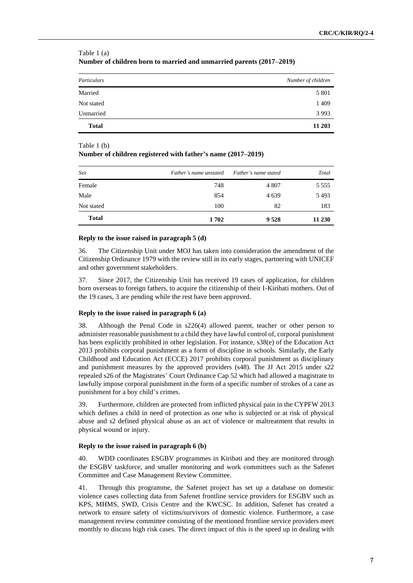| Particulars  | Number of children |
|--------------|--------------------|
| Married      | 5 8 0 1            |
| Not stated   | 1 4 0 9            |
| Unmarried    | 3 9 9 3            |
| <b>Total</b> | 11 203             |

## Table 1 (a) **Number of children born to married and unmarried parents (2017–2019)**

#### Table 1 (b)

#### **Number of children registered with father's name (2017–2019)**

| Sex          | Father's name unstated | Father's name stated | Total     |
|--------------|------------------------|----------------------|-----------|
| Female       | 748                    | 4 807                | 5 5 5 5 5 |
| Male         | 854                    | 4 6 3 9              | 5493      |
| Not stated   | 100                    | 82                   | 183       |
| <b>Total</b> | 1702                   | 9 5 2 8              | 11 230    |

#### **Reply to the issue raised in paragraph 5 (d)**

36. The Citizenship Unit under MOJ has taken into consideration the amendment of the Citizenship Ordinance 1979 with the review still in its early stages, partnering with UNICEF and other government stakeholders.

37. Since 2017, the Citizenship Unit has received 19 cases of application, for children born overseas to foreign fathers, to acquire the citizenship of their I-Kiribati mothers. Out of the 19 cases, 3 are pending while the rest have been approved.

#### **Reply to the issue raised in paragraph 6 (a)**

38. Although the Penal Code in s226(4) allowed parent, teacher or other person to administer reasonable punishment to a child they have lawful control of, corporal punishment has been explicitly prohibited in other legislation. For instance, s38(e) of the Education Act 2013 prohibits corporal punishment as a form of discipline in schools. Similarly, the Early Childhood and Education Act (ECCE) 2017 prohibits corporal punishment as disciplinary and punishment measures by the approved providers (s48). The JJ Act 2015 under s22 repealed s26 of the Magistrates' Court Ordinance Cap 52 which had allowed a magistrate to lawfully impose corporal punishment in the form of a specific number of strokes of a cane as punishment for a boy child's crimes.

39. Furthermore, children are protected from inflicted physical pain in the CYPFW 2013 which defines a child in need of protection as one who is subjected or at risk of physical abuse and s2 defined physical abuse as an act of violence or maltreatment that results in physical wound or injury.

#### **Reply to the issue raised in paragraph 6 (b)**

40. WDD coordinates ESGBV programmes in Kiribati and they are monitored through the ESGBV taskforce, and smaller monitoring and work committees such as the Safenet Committee and Case Management Review Committee.

41. Through this programme, the Safenet project has set up a database on domestic violence cases collecting data from Safenet frontline service providers for ESGBV such as KPS, MHMS, SWD, Crisis Centre and the KWCSC. In addition, Safenet has created a network to ensure safety of victims/survivors of domestic violence. Furthermore, a case management review committee consisting of the mentioned frontline service providers meet monthly to discuss high risk cases. The direct impact of this is the speed up in dealing with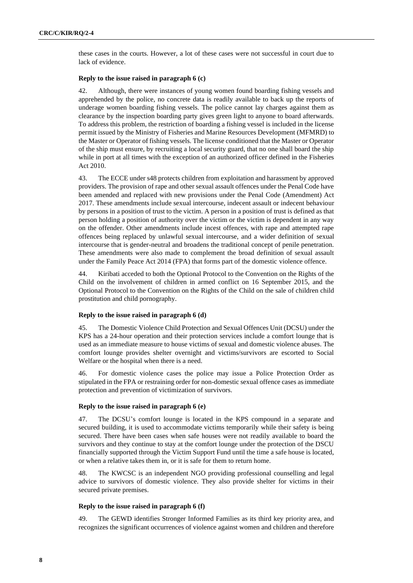these cases in the courts. However, a lot of these cases were not successful in court due to lack of evidence.

#### **Reply to the issue raised in paragraph 6 (c)**

42. Although, there were instances of young women found boarding fishing vessels and apprehended by the police, no concrete data is readily available to back up the reports of underage women boarding fishing vessels. The police cannot lay charges against them as clearance by the inspection boarding party gives green light to anyone to board afterwards. To address this problem, the restriction of boarding a fishing vessel is included in the license permit issued by the Ministry of Fisheries and Marine Resources Development (MFMRD) to the Master or Operator of fishing vessels. The license conditioned that the Master or Operator of the ship must ensure, by recruiting a local security guard, that no one shall board the ship while in port at all times with the exception of an authorized officer defined in the Fisheries Act 2010.

43. The ECCE under s48 protects children from exploitation and harassment by approved providers. The provision of rape and other sexual assault offences under the Penal Code have been amended and replaced with new provisions under the Penal Code (Amendment) Act 2017. These amendments include sexual intercourse, indecent assault or indecent behaviour by persons in a position of trust to the victim. A person in a position of trust is defined as that person holding a position of authority over the victim or the victim is dependent in any way on the offender. Other amendments include incest offences, with rape and attempted rape offences being replaced by unlawful sexual intercourse, and a wider definition of sexual intercourse that is gender-neutral and broadens the traditional concept of penile penetration. These amendments were also made to complement the broad definition of sexual assault under the Family Peace Act 2014 (FPA) that forms part of the domestic violence offence.

44. Kiribati acceded to both the Optional Protocol to the Convention on the Rights of the Child on the involvement of children in armed conflict on 16 September 2015, and the Optional Protocol to the Convention on the Rights of the Child on the sale of children child prostitution and child pornography.

## **Reply to the issue raised in paragraph 6 (d)**

45. The Domestic Violence Child Protection and Sexual Offences Unit (DCSU) under the KPS has a 24-hour operation and their protection services include a comfort lounge that is used as an immediate measure to house victims of sexual and domestic violence abuses. The comfort lounge provides shelter overnight and victims/survivors are escorted to Social Welfare or the hospital when there is a need.

46. For domestic violence cases the police may issue a Police Protection Order as stipulated in the FPA or restraining order for non-domestic sexual offence cases as immediate protection and prevention of victimization of survivors.

#### **Reply to the issue raised in paragraph 6 (e)**

47. The DCSU's comfort lounge is located in the KPS compound in a separate and secured building, it is used to accommodate victims temporarily while their safety is being secured. There have been cases when safe houses were not readily available to board the survivors and they continue to stay at the comfort lounge under the protection of the DSCU financially supported through the Victim Support Fund until the time a safe house is located, or when a relative takes them in, or it is safe for them to return home.

48. The KWCSC is an independent NGO providing professional counselling and legal advice to survivors of domestic violence. They also provide shelter for victims in their secured private premises.

#### **Reply to the issue raised in paragraph 6 (f)**

49. The GEWD identifies Stronger Informed Families as its third key priority area, and recognizes the significant occurrences of violence against women and children and therefore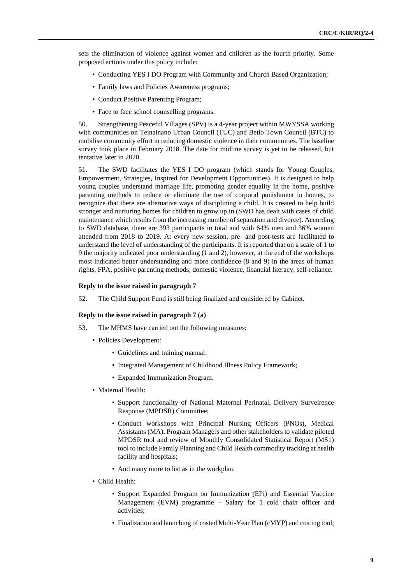sets the elimination of violence against women and children as the fourth priority. Some proposed actions under this policy include:

- Conducting YES I DO Program with Community and Church Based Organization;
- Family laws and Policies Awareness programs;
- Conduct Positive Parenting Program;
- Face to face school counselling programs.

50. Strengthening Peaceful Villages (SPV) is a 4-year project within MWYSSA working with communities on Teinainano Urban Council (TUC) and Betio Town Council (BTC) to mobilise community effort in reducing domestic violence in their communities. The baseline survey took place in February 2018. The date for midline survey is yet to be released, but tentative later in 2020.

51. The SWD facilitates the YES I DO program (which stands for Young Couples, Empowerment, Strategies, Inspired for Development Opportunities). It is designed to help young couples understand marriage life, promoting gender equality in the home, positive parenting methods to reduce or eliminate the use of corporal punishment in homes, to recognize that there are alternative ways of disciplining a child. It is created to help build stronger and nurturing homes for children to grow up in (SWD has dealt with cases of child maintenance which results from the increasing number of separation and divorce). According to SWD database, there are 393 participants in total and with 64% men and 36% women attended from 2018 to 2019. At every new session, pre- and post-tests are facilitated to understand the level of understanding of the participants. It is reported that on a scale of 1 to 9 the majority indicated poor understanding (1 and 2), however, at the end of the workshops most indicated better understanding and more confidence (8 and 9) in the areas of human rights, FPA, positive parenting methods, domestic violence, financial literacy, self-reliance.

#### **Reply to the issue raised in paragraph 7**

52. The Child Support Fund is still being finalized and considered by Cabinet.

#### **Reply to the issue raised in paragraph 7 (a)**

- 53. The MHMS have carried out the following measures:
	- Policies Development:
		- Guidelines and training manual;
		- Integrated Management of Childhood Illness Policy Framework;
		- Expanded Immunization Program.
	- Maternal Health:
		- Support functionality of National Maternal Perinatal, Delivery Surveirence Response (MPDSR) Committee;
		- Conduct workshops with Principal Nursing Officers (PNOs), Medical Assistants (MA), Program Managers and other stakeholders to validate piloted MPDSR tool and review of Monthly Consolidated Statistical Report (MS1) tool to include Family Planning and Child Health commodity tracking at health facility and hospitals;
		- And many more to list as in the workplan.
	- Child Health:
		- Support Expanded Program on Immunization (EPi) and Essential Vaccine Management (EVM) programme – Salary for 1 cold chain officer and activities;
		- Finalization and launching of costed Multi-Year Plan (cMYP) and costing tool;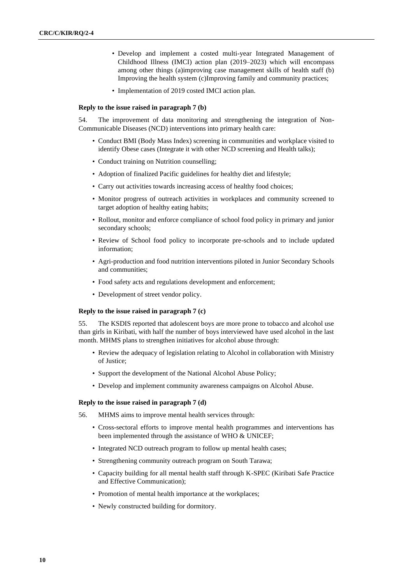- Develop and implement a costed multi-year Integrated Management of Childhood Illness (IMCI) action plan (2019–2023) which will encompass among other things (a)improving case management skills of health staff (b) Improving the health system (c)Improving family and community practices;
- Implementation of 2019 costed IMCI action plan.

#### **Reply to the issue raised in paragraph 7 (b)**

54. The improvement of data monitoring and strengthening the integration of Non-Communicable Diseases (NCD) interventions into primary health care:

- Conduct BMI (Body Mass Index) screening in communities and workplace visited to identify Obese cases (Integrate it with other NCD screening and Health talks);
- Conduct training on Nutrition counselling;
- Adoption of finalized Pacific guidelines for healthy diet and lifestyle;
- Carry out activities towards increasing access of healthy food choices;
- Monitor progress of outreach activities in workplaces and community screened to target adoption of healthy eating habits;
- Rollout, monitor and enforce compliance of school food policy in primary and junior secondary schools;
- Review of School food policy to incorporate pre-schools and to include updated information;
- Agri-production and food nutrition interventions piloted in Junior Secondary Schools and communities;
- Food safety acts and regulations development and enforcement;
- Development of street vendor policy.

#### **Reply to the issue raised in paragraph 7 (c)**

55. The KSDIS reported that adolescent boys are more prone to tobacco and alcohol use than girls in Kiribati, with half the number of boys interviewed have used alcohol in the last month. MHMS plans to strengthen initiatives for alcohol abuse through:

- Review the adequacy of legislation relating to Alcohol in collaboration with Ministry of Justice;
- Support the development of the National Alcohol Abuse Policy;
- Develop and implement community awareness campaigns on Alcohol Abuse.

#### **Reply to the issue raised in paragraph 7 (d)**

56. MHMS aims to improve mental health services through:

- Cross-sectoral efforts to improve mental health programmes and interventions has been implemented through the assistance of WHO & UNICEF;
- Integrated NCD outreach program to follow up mental health cases;
- Strengthening community outreach program on South Tarawa;
- Capacity building for all mental health staff through K-SPEC (Kiribati Safe Practice and Effective Communication);
- Promotion of mental health importance at the workplaces;
- Newly constructed building for dormitory.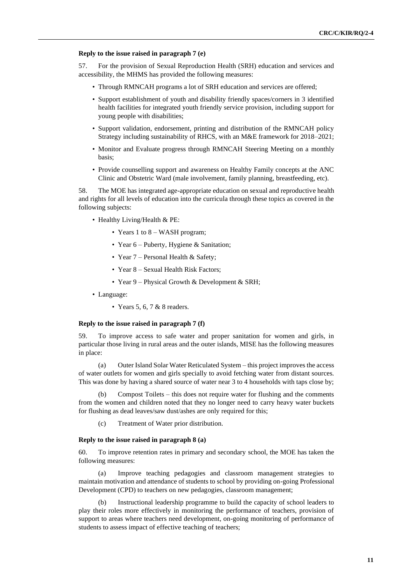#### **Reply to the issue raised in paragraph 7 (e)**

57. For the provision of Sexual Reproduction Health (SRH) education and services and accessibility, the MHMS has provided the following measures:

- Through RMNCAH programs a lot of SRH education and services are offered;
- Support establishment of youth and disability friendly spaces/corners in 3 identified health facilities for integrated youth friendly service provision, including support for young people with disabilities;
- Support validation, endorsement, printing and distribution of the RMNCAH policy Strategy including sustainability of RHCS, with an M&E framework for 2018–2021;
- Monitor and Evaluate progress through RMNCAH Steering Meeting on a monthly basis;
- Provide counselling support and awareness on Healthy Family concepts at the ANC Clinic and Obstetric Ward (male involvement, family planning, breastfeeding, etc).

58. The MOE has integrated age-appropriate education on sexual and reproductive health and rights for all levels of education into the curricula through these topics as covered in the following subjects:

- Healthy Living/Health & PE:
	- Years 1 to 8 WASH program;
	- Year 6 Puberty, Hygiene & Sanitation;
	- Year 7 Personal Health & Safety;
	- Year 8 Sexual Health Risk Factors;
	- Year 9 Physical Growth & Development & SRH;
- Language:
	- Years 5, 6, 7 & 8 readers.

## **Reply to the issue raised in paragraph 7 (f)**

59. To improve access to safe water and proper sanitation for women and girls, in particular those living in rural areas and the outer islands, MISE has the following measures in place:

(a) Outer Island Solar Water Reticulated System – this project improves the access of water outlets for women and girls specially to avoid fetching water from distant sources. This was done by having a shared source of water near 3 to 4 households with taps close by;

(b) Compost Toilets – this does not require water for flushing and the comments from the women and children noted that they no longer need to carry heavy water buckets for flushing as dead leaves/saw dust/ashes are only required for this;

(c) Treatment of Water prior distribution.

#### **Reply to the issue raised in paragraph 8 (a)**

60. To improve retention rates in primary and secondary school, the MOE has taken the following measures:

(a) Improve teaching pedagogies and classroom management strategies to maintain motivation and attendance of students to school by providing on-going Professional Development (CPD) to teachers on new pedagogies, classroom management;

(b) Instructional leadership programme to build the capacity of school leaders to play their roles more effectively in monitoring the performance of teachers, provision of support to areas where teachers need development, on-going monitoring of performance of students to assess impact of effective teaching of teachers;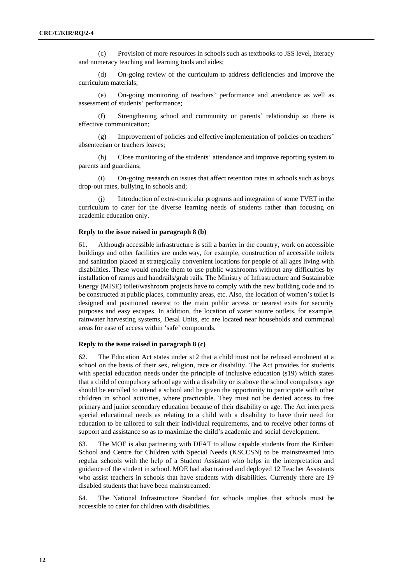(c) Provision of more resources in schools such as textbooks to JSS level, literacy and numeracy teaching and learning tools and aides;

(d) On-going review of the curriculum to address deficiencies and improve the curriculum materials;

(e) On-going monitoring of teachers' performance and attendance as well as assessment of students' performance;

(f) Strengthening school and community or parents' relationship so there is effective communication;

(g) Improvement of policies and effective implementation of policies on teachers' absenteeism or teachers leaves;

(h) Close monitoring of the students' attendance and improve reporting system to parents and guardians;

(i) On-going research on issues that affect retention rates in schools such as boys drop-out rates, bullying in schools and;

Introduction of extra-curricular programs and integration of some TVET in the curriculum to cater for the diverse learning needs of students rather than focusing on academic education only.

#### **Reply to the issue raised in paragraph 8 (b)**

61. Although accessible infrastructure is still a barrier in the country, work on accessible buildings and other facilities are underway, for example, construction of accessible toilets and sanitation placed at strategically convenient locations for people of all ages living with disabilities. These would enable them to use public washrooms without any difficulties by installation of ramps and handrails/grab rails. The Ministry of Infrastructure and Sustainable Energy (MISE) toilet/washroom projects have to comply with the new building code and to be constructed at public places, community areas, etc. Also, the location of women's toilet is designed and positioned nearest to the main public access or nearest exits for security purposes and easy escapes. In addition, the location of water source outlets, for example, rainwater harvesting systems, Desal Units, etc are located near households and communal areas for ease of access within 'safe' compounds.

## **Reply to the issue raised in paragraph 8 (c)**

62. The Education Act states under s12 that a child must not be refused enrolment at a school on the basis of their sex, religion, race or disability. The Act provides for students with special education needs under the principle of inclusive education (s19) which states that a child of compulsory school age with a disability or is above the school compulsory age should be enrolled to attend a school and be given the opportunity to participate with other children in school activities, where practicable. They must not be denied access to free primary and junior secondary education because of their disability or age. The Act interprets special educational needs as relating to a child with a disability to have their need for education to be tailored to suit their individual requirements, and to receive other forms of support and assistance so as to maximize the child's academic and social development.

63. The MOE is also partnering with DFAT to allow capable students from the Kiribati School and Centre for Children with Special Needs (KSCCSN) to be mainstreamed into regular schools with the help of a Student Assistant who helps in the interpretation and guidance of the student in school. MOE had also trained and deployed 12 Teacher Assistants who assist teachers in schools that have students with disabilities. Currently there are 19 disabled students that have been mainstreamed.

64. The National Infrastructure Standard for schools implies that schools must be accessible to cater for children with disabilities.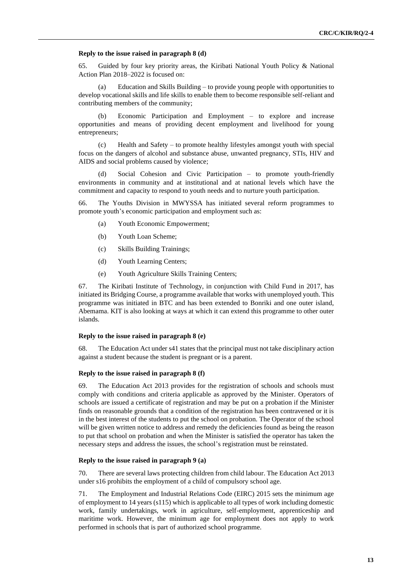#### **Reply to the issue raised in paragraph 8 (d)**

65. Guided by four key priority areas, the Kiribati National Youth Policy & National Action Plan 2018–2022 is focused on:

(a) Education and Skills Building – to provide young people with opportunities to develop vocational skills and life skills to enable them to become responsible self-reliant and contributing members of the community;

(b) Economic Participation and Employment – to explore and increase opportunities and means of providing decent employment and livelihood for young entrepreneurs;

(c) Health and Safety – to promote healthy lifestyles amongst youth with special focus on the dangers of alcohol and substance abuse, unwanted pregnancy, STIs, HIV and AIDS and social problems caused by violence;

(d) Social Cohesion and Civic Participation – to promote youth-friendly environments in community and at institutional and at national levels which have the commitment and capacity to respond to youth needs and to nurture youth participation.

66. The Youths Division in MWYSSA has initiated several reform programmes to promote youth's economic participation and employment such as:

- (a) Youth Economic Empowerment;
- (b) Youth Loan Scheme;
- (c) Skills Building Trainings;
- (d) Youth Learning Centers;
- (e) Youth Agriculture Skills Training Centers;

67. The Kiribati Institute of Technology, in conjunction with Child Fund in 2017, has initiated its Bridging Course, a programme available that works with unemployed youth. This programme was initiated in BTC and has been extended to Bonriki and one outer island, Abemama. KIT is also looking at ways at which it can extend this programme to other outer islands.

#### **Reply to the issue raised in paragraph 8 (e)**

68. The Education Act under s41 states that the principal must not take disciplinary action against a student because the student is pregnant or is a parent.

#### **Reply to the issue raised in paragraph 8 (f)**

69. The Education Act 2013 provides for the registration of schools and schools must comply with conditions and criteria applicable as approved by the Minister. Operators of schools are issued a certificate of registration and may be put on a probation if the Minister finds on reasonable grounds that a condition of the registration has been contravened or it is in the best interest of the students to put the school on probation. The Operator of the school will be given written notice to address and remedy the deficiencies found as being the reason to put that school on probation and when the Minister is satisfied the operator has taken the necessary steps and address the issues, the school's registration must be reinstated.

#### **Reply to the issue raised in paragraph 9 (a)**

70. There are several laws protecting children from child labour. The Education Act 2013 under s16 prohibits the employment of a child of compulsory school age.

71. The Employment and Industrial Relations Code (EIRC) 2015 sets the minimum age of employment to 14 years (s115) which is applicable to all types of work including domestic work, family undertakings, work in agriculture, self-employment, apprenticeship and maritime work. However, the minimum age for employment does not apply to work performed in schools that is part of authorized school programme.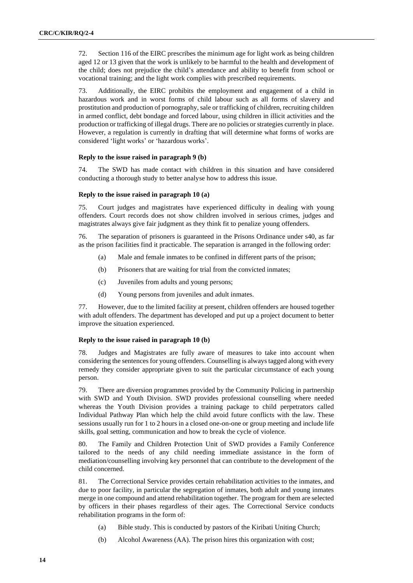72. Section 116 of the EIRC prescribes the minimum age for light work as being children aged 12 or 13 given that the work is unlikely to be harmful to the health and development of the child; does not prejudice the child's attendance and ability to benefit from school or vocational training; and the light work complies with prescribed requirements.

73. Additionally, the EIRC prohibits the employment and engagement of a child in hazardous work and in worst forms of child labour such as all forms of slavery and prostitution and production of pornography, sale or trafficking of children, recruiting children in armed conflict, debt bondage and forced labour, using children in illicit activities and the production or trafficking of illegal drugs. There are no policies or strategies currently in place. However, a regulation is currently in drafting that will determine what forms of works are considered 'light works' or 'hazardous works'.

#### **Reply to the issue raised in paragraph 9 (b)**

74. The SWD has made contact with children in this situation and have considered conducting a thorough study to better analyse how to address this issue.

#### **Reply to the issue raised in paragraph 10 (a)**

75. Court judges and magistrates have experienced difficulty in dealing with young offenders. Court records does not show children involved in serious crimes, judges and magistrates always give fair judgment as they think fit to penalize young offenders.

76. The separation of prisoners is guaranteed in the Prisons Ordinance under s40, as far as the prison facilities find it practicable. The separation is arranged in the following order:

- (a) Male and female inmates to be confined in different parts of the prison;
- (b) Prisoners that are waiting for trial from the convicted inmates;
- (c) Juveniles from adults and young persons;
- (d) Young persons from juveniles and adult inmates.

77. However, due to the limited facility at present, children offenders are housed together with adult offenders. The department has developed and put up a project document to better improve the situation experienced.

#### **Reply to the issue raised in paragraph 10 (b)**

78. Judges and Magistrates are fully aware of measures to take into account when considering the sentences for young offenders. Counselling is always tagged along with every remedy they consider appropriate given to suit the particular circumstance of each young person.

79. There are diversion programmes provided by the Community Policing in partnership with SWD and Youth Division. SWD provides professional counselling where needed whereas the Youth Division provides a training package to child perpetrators called Individual Pathway Plan which help the child avoid future conflicts with the law. These sessions usually run for 1 to 2 hours in a closed one-on-one or group meeting and include life skills, goal setting, communication and how to break the cycle of violence.

80. The Family and Children Protection Unit of SWD provides a Family Conference tailored to the needs of any child needing immediate assistance in the form of mediation/counselling involving key personnel that can contribute to the development of the child concerned.

81. The Correctional Service provides certain rehabilitation activities to the inmates, and due to poor facility, in particular the segregation of inmates, both adult and young inmates merge in one compound and attend rehabilitation together. The program for them are selected by officers in their phases regardless of their ages. The Correctional Service conducts rehabilitation programs in the form of:

- (a) Bible study. This is conducted by pastors of the Kiribati Uniting Church;
- (b) Alcohol Awareness (AA). The prison hires this organization with cost;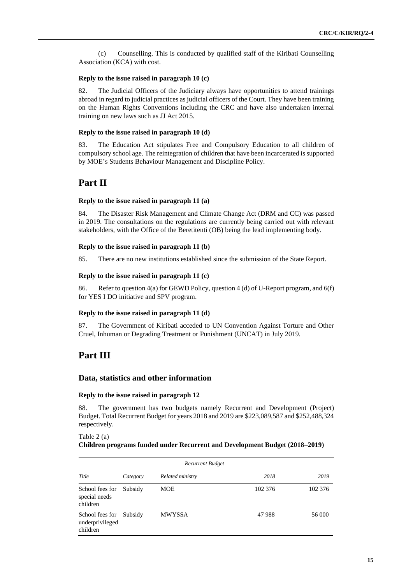(c) Counselling. This is conducted by qualified staff of the Kiribati Counselling Association (KCA) with cost.

#### **Reply to the issue raised in paragraph 10 (c)**

82. The Judicial Officers of the Judiciary always have opportunities to attend trainings abroad in regard to judicial practices as judicial officers of the Court. They have been training on the Human Rights Conventions including the CRC and have also undertaken internal training on new laws such as JJ Act 2015.

#### **Reply to the issue raised in paragraph 10 (d)**

83. The Education Act stipulates Free and Compulsory Education to all children of compulsory school age. The reintegration of children that have been incarcerated is supported by MOE's Students Behaviour Management and Discipline Policy.

## **Part II**

#### **Reply to the issue raised in paragraph 11 (a)**

84. The Disaster Risk Management and Climate Change Act (DRM and CC) was passed in 2019. The consultations on the regulations are currently being carried out with relevant stakeholders, with the Office of the Beretitenti (OB) being the lead implementing body.

#### **Reply to the issue raised in paragraph 11 (b)**

85. There are no new institutions established since the submission of the State Report.

#### **Reply to the issue raised in paragraph 11 (c)**

86. Refer to question 4(a) for GEWD Policy, question 4 (d) of U-Report program, and 6(f) for YES I DO initiative and SPV program.

#### **Reply to the issue raised in paragraph 11 (d)**

87. The Government of Kiribati acceded to UN Convention Against Torture and Other Cruel, Inhuman or Degrading Treatment or Punishment (UNCAT) in July 2019.

## **Part III**

## **Data, statistics and other information**

#### **Reply to the issue raised in paragraph 12**

88. The government has two budgets namely Recurrent and Development (Project) Budget. Total Recurrent Budget for years 2018 and 2019 are \$223,089,587 and \$252,488,324 respectively.

#### Table 2 (a) **Children programs funded under Recurrent and Development Budget (2018–2019)**

| Recurrent Budget                               |          |                  |         |         |  |  |  |  |  |  |
|------------------------------------------------|----------|------------------|---------|---------|--|--|--|--|--|--|
| Title                                          | Category | Related ministry | 2018    | 2019    |  |  |  |  |  |  |
| School fees for<br>special needs<br>children   | Subsidy  | MOE              | 102 376 | 102 376 |  |  |  |  |  |  |
| School fees for<br>underprivileged<br>children | Subsidy  | <b>MWYSSA</b>    | 47988   | 56 000  |  |  |  |  |  |  |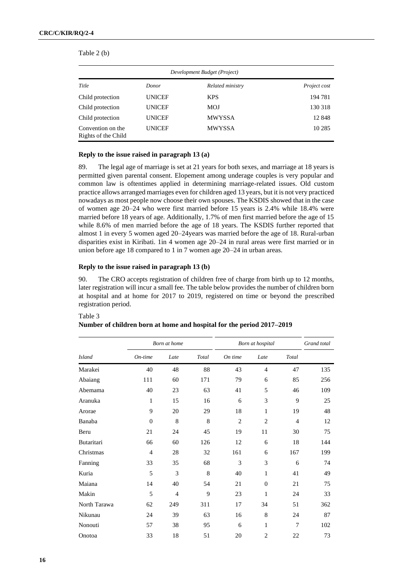|                                          | Development Budget (Project) |                  |              |
|------------------------------------------|------------------------------|------------------|--------------|
| Title                                    | Donor                        | Related ministry | Project cost |
| Child protection                         | <b>UNICEF</b>                | <b>KPS</b>       | 194 781      |
| Child protection                         | <b>UNICEF</b>                | MOJ              | 130 318      |
| Child protection                         | <b>UNICEF</b>                | <b>MWYSSA</b>    | 12848        |
| Convention on the<br>Rights of the Child | <b>UNICEF</b>                | <b>MWYSSA</b>    | 10 2 8 5     |

Table 2 (b)

#### **Reply to the issue raised in paragraph 13 (a)**

89. The legal age of marriage is set at 21 years for both sexes, and marriage at 18 years is permitted given parental consent. Elopement among underage couples is very popular and common law is oftentimes applied in determining marriage-related issues. Old custom practice allows arranged marriages even for children aged 13 years, but it is not very practiced nowadays as most people now choose their own spouses. The KSDIS showed that in the case of women age 20–24 who were first married before 15 years is 2.4% while 18.4% were married before 18 years of age. Additionally, 1.7% of men first married before the age of 15 while 8.6% of men married before the age of 18 years. The KSDIS further reported that almost 1 in every 5 women aged 20–24years was married before the age of 18. Rural-urban disparities exist in Kiribati. 1in 4 women age 20–24 in rural areas were first married or in union before age 18 compared to 1 in 7 women age 20–24 in urban areas.

#### **Reply to the issue raised in paragraph 13 (b)**

90. The CRO accepts registration of children free of charge from birth up to 12 months, later registration will incur a small fee. The table below provides the number of children born at hospital and at home for 2017 to 2019, registered on time or beyond the prescribed registration period.

|               |                | Born at home   |       | Born at hospital | Grand total    |                |     |
|---------------|----------------|----------------|-------|------------------|----------------|----------------|-----|
| <b>Island</b> | On-time        | Late           | Total | On time          | Late           | Total          |     |
| Marakei       | 40             | 48             | 88    | 43               | $\overline{4}$ | 47             | 135 |
| Abaiang       | 111            | 60             | 171   | 79               | 6              | 85             | 256 |
| Abemama       | 40             | 23             | 63    | 41               | 5              | 46             | 109 |
| Aranuka       | 1              | 15             | 16    | 6                | 3              | 9              | 25  |
| Arorae        | 9              | 20             | 29    | 18               | 1              | 19             | 48  |
| Banaba        | $\mathbf{0}$   | 8              | 8     | $\overline{2}$   | $\overline{2}$ | $\overline{4}$ | 12  |
| Beru          | 21             | 24             | 45    | 19               | 11             | 30             | 75  |
| Butaritari    | 66             | 60             | 126   | 12               | 6              | 18             | 144 |
| Christmas     | $\overline{4}$ | 28             | 32    | 161              | 6              | 167            | 199 |
| Fanning       | 33             | 35             | 68    | 3                | 3              | 6              | 74  |
| Kuria         | 5              | 3              | 8     | 40               | 1              | 41             | 49  |
| Maiana        | 14             | 40             | 54    | 21               | $\Omega$       | 21             | 75  |
| Makin         | 5              | $\overline{4}$ | 9     | 23               | 1              | 24             | 33  |
| North Tarawa  | 62             | 249            | 311   | 17               | 34             | 51             | 362 |
| Nikunau       | 24             | 39             | 63    | 16               | 8              | 24             | 87  |
| Nonouti       | 57             | 38             | 95    | 6                | $\mathbf{1}$   | $\overline{7}$ | 102 |
| Onotoa        | 33             | 18             | 51    | 20               | $\overline{2}$ | 22             | 73  |

## Table 3

## **Number of children born at home and hospital for the period 2017–2019**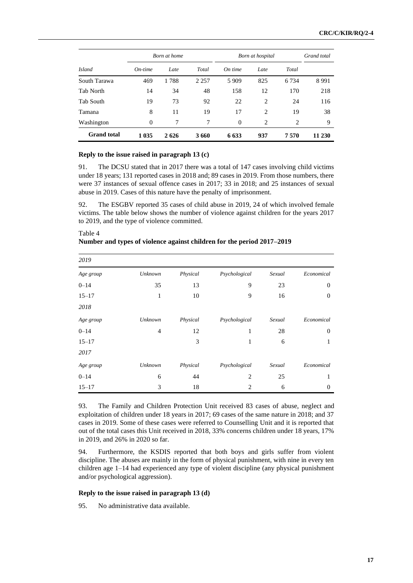|                    |           | <b>Born</b> at home |         | Born at hospital | Grand total    |                |        |
|--------------------|-----------|---------------------|---------|------------------|----------------|----------------|--------|
| <b>Island</b>      | $On-time$ | Late                | Total   | On time          | Late           | Total          |        |
| South Tarawa       | 469       | 1788                | 2 2 5 7 | 5 9 0 9          | 825            | 6 7 3 4        | 8991   |
| Tab North          | 14        | 34                  | 48      | 158              | 12             | 170            | 218    |
| Tab South          | 19        | 73                  | 92      | 22               | 2              | 24             | 116    |
| Tamana             | 8         | 11                  | 19      | 17               | 2              | 19             | 38     |
| Washington         | $\Omega$  | 7                   | 7       | $\Omega$         | $\overline{c}$ | $\overline{c}$ | 9      |
| <b>Grand</b> total | 1 0 3 5   | 2626                | 3660    | 6 6 3 3          | 937            | 7570           | 11 230 |

#### **Reply to the issue raised in paragraph 13 (c)**

Table 4

91. The DCSU stated that in 2017 there was a total of 147 cases involving child victims under 18 years; 131 reported cases in 2018 and; 89 cases in 2019. From those numbers, there were 37 instances of sexual offence cases in 2017; 33 in 2018; and 25 instances of sexual abuse in 2019. Cases of this nature have the penalty of imprisonment.

92. The ESGBV reported 35 cases of child abuse in 2019, 24 of which involved female victims. The table below shows the number of violence against children for the years 2017 to 2019, and the type of violence committed.

| 2019      |         |          |                |        |                  |
|-----------|---------|----------|----------------|--------|------------------|
|           |         |          |                |        |                  |
| Age group | Unknown | Physical | Psychological  | Sexual | Economical       |
| $0 - 14$  | 35      | 13       | 9              | 23     | $\mathbf{0}$     |
| $15 - 17$ | 1       | 10       | 9              | 16     | $\boldsymbol{0}$ |
| 2018      |         |          |                |        |                  |
| Age group | Unknown | Physical | Psychological  | Sexual | Economical       |
| $0 - 14$  | 4       | 12       | 1              | 28     | $\overline{0}$   |
| $15 - 17$ |         | 3        | 1              | 6      | 1                |
| 2017      |         |          |                |        |                  |
| Age group | Unknown | Physical | Psychological  | Sexual | Economical       |
| $0 - 14$  | 6       | 44       | 2              | 25     | 1                |
| $15 - 17$ | 3       | 18       | $\overline{c}$ | 6      | $\overline{0}$   |

**Number and types of violence against children for the period 2017–2019**

93. The Family and Children Protection Unit received 83 cases of abuse, neglect and exploitation of children under 18 years in 2017; 69 cases of the same nature in 2018; and 37 cases in 2019. Some of these cases were referred to Counselling Unit and it is reported that out of the total cases this Unit received in 2018, 33% concerns children under 18 years, 17% in 2019, and 26% in 2020 so far.

94. Furthermore, the KSDIS reported that both boys and girls suffer from violent discipline. The abuses are mainly in the form of physical punishment, with nine in every ten children age 1–14 had experienced any type of violent discipline (any physical punishment and/or psychological aggression).

#### **Reply to the issue raised in paragraph 13 (d)**

95. No administrative data available.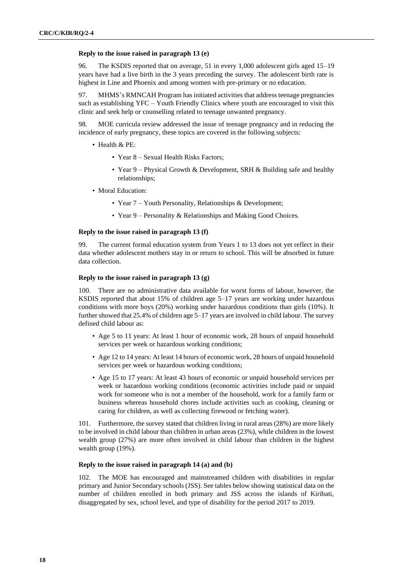#### **Reply to the issue raised in paragraph 13 (e)**

96. The KSDIS reported that on average, 51 in every 1,000 adolescent girls aged 15–19 years have had a live birth in the 3 years preceding the survey. The adolescent birth rate is highest in Line and Phoenix and among women with pre-primary or no education.

97. MHMS's RMNCAH Program has initiated activities that address teenage pregnancies such as establishing YFC – Youth Friendly Clinics where youth are encouraged to visit this clinic and seek help or counselling related to teenage unwanted pregnancy.

98. MOE curricula review addressed the issue of teenage pregnancy and in reducing the incidence of early pregnancy, these topics are covered in the following subjects:

- Health & PE:
	- Year 8 Sexual Health Risks Factors;
	- Year 9 Physical Growth & Development, SRH & Building safe and healthy relationships;
- Moral Education:
	- Year 7 Youth Personality, Relationships & Development;
	- Year 9 Personality & Relationships and Making Good Choices.

## **Reply to the issue raised in paragraph 13 (f)**

99. The current formal education system from Years 1 to 13 does not yet reflect in their data whether adolescent mothers stay in or return to school. This will be absorbed in future data collection.

#### **Reply to the issue raised in paragraph 13 (g)**

100. There are no administrative data available for worst forms of labour, however, the KSDIS reported that about 15% of children age 5–17 years are working under hazardous conditions with more boys (20%) working under hazardous conditions than girls (10%). It further showed that 25.4% of children age 5–17 years are involved in child labour. The survey defined child labour as:

- Age 5 to 11 years: At least 1 hour of economic work, 28 hours of unpaid household services per week or hazardous working conditions;
- Age 12 to 14 years: At least 14 hours of economic work, 28 hours of unpaid household services per week or hazardous working conditions;
- Age 15 to 17 years: At least 43 hours of economic or unpaid household services per week or hazardous working conditions (economic activities include paid or unpaid work for someone who is not a member of the household, work for a family farm or business whereas household chores include activities such as cooking, cleaning or caring for children, as well as collecting firewood or fetching water).

101. Furthermore, the survey stated that children living in rural areas (28%) are more likely to be involved in child labour than children in urban areas (23%), while children in the lowest wealth group (27%) are more often involved in child labour than children in the highest wealth group (19%).

## **Reply to the issue raised in paragraph 14 (a) and (b)**

102. The MOE has encouraged and mainstreamed children with disabilities in regular primary and Junior Secondary schools (JSS). See tables below showing statistical data on the number of children enrolled in both primary and JSS across the islands of Kiribati, disaggregated by sex, school level, and type of disability for the period 2017 to 2019.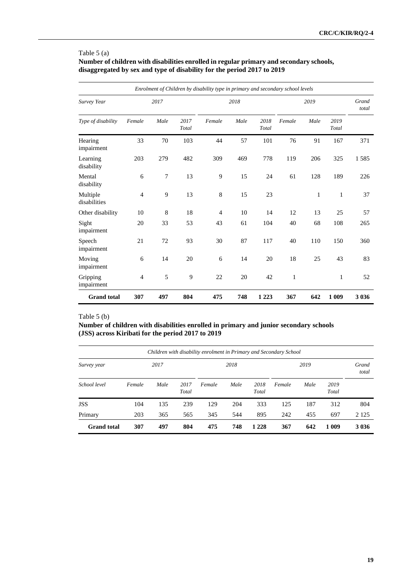## Table 5 (a)

**Number of children with disabilities enrolled in regular primary and secondary schools, disaggregated by sex and type of disability for the period 2017 to 2019**

|                          |                |         |               | Enrolment of Children by disability type in primary and secondary school levels |      |               |              |                |               |         |
|--------------------------|----------------|---------|---------------|---------------------------------------------------------------------------------|------|---------------|--------------|----------------|---------------|---------|
| Survey Year              |                | 2017    |               |                                                                                 | 2018 |               |              | Grand<br>total |               |         |
| Type of disability       | Female         | Male    | 2017<br>Total | Female                                                                          | Male | 2018<br>Total | Female       | Male           | 2019<br>Total |         |
| Hearing<br>impairment    | 33             | 70      | 103           | 44                                                                              | 57   | 101           | 76           | 91             | 167           | 371     |
| Learning<br>disability   | 203            | 279     | 482           | 309                                                                             | 469  | 778           | 119          | 206            | 325           | 1585    |
| Mental<br>disability     | 6              | 7       | 13            | 9                                                                               | 15   | 24            | 61           | 128            | 189           | 226     |
| Multiple<br>disabilities | $\overline{4}$ | 9       | 13            | $\,8$                                                                           | 15   | 23            |              | 1              | 1             | 37      |
| Other disability         | 10             | $\,8\,$ | 18            | 4                                                                               | 10   | 14            | 12           | 13             | 25            | 57      |
| Sight<br>impairment      | 20             | 33      | 53            | 43                                                                              | 61   | 104           | 40           | 68             | 108           | 265     |
| Speech<br>impairment     | 21             | 72      | 93            | 30                                                                              | 87   | 117           | 40           | 110            | 150           | 360     |
| Moving<br>impairment     | 6              | 14      | 20            | 6                                                                               | 14   | 20            | 18           | 25             | 43            | 83      |
| Gripping<br>impairment   | $\overline{4}$ | 5       | 9             | 22                                                                              | 20   | 42            | $\mathbf{1}$ |                | 1             | 52      |
| <b>Grand</b> total       | 307            | 497     | 804           | 475                                                                             | 748  | 1 2 2 3       | 367          | 642            | 1 0 0 9       | 3 0 3 6 |

## Table 5 (b)

**Number of children with disabilities enrolled in primary and junior secondary schools (JSS) across Kiribati for the period 2017 to 2019**

| Children with disability enrolment in Primary and Secondary School |        |                       |     |                |      |               |        |      |                |         |  |  |
|--------------------------------------------------------------------|--------|-----------------------|-----|----------------|------|---------------|--------|------|----------------|---------|--|--|
| Survey year                                                        |        | 2017                  |     |                | 2018 |               |        |      | Grand<br>total |         |  |  |
| School level                                                       | Female | Male<br>2017<br>Total |     | Male<br>Female |      | 2018<br>Total | Female | Male | 2019<br>Total  |         |  |  |
| <b>JSS</b>                                                         | 104    | 135                   | 239 | 129            | 204  | 333           | 125    | 187  | 312            | 804     |  |  |
| Primary                                                            | 203    | 365                   | 565 | 345            | 544  | 895           | 242    | 455  | 697            | 2 1 2 5 |  |  |
| <b>Grand</b> total                                                 | 307    | 497                   | 804 | 475            | 748  | 1 2 2 8       | 367    | 642  | 1 0 0 9        | 3 0 3 6 |  |  |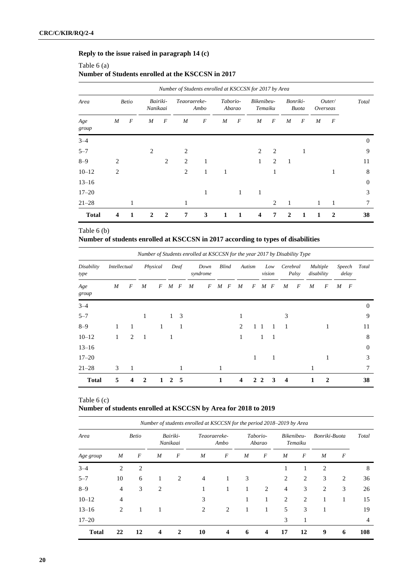## **Reply to the issue raised in paragraph 14 (c)**

## Table 6 (a) **Number of Students enrolled at the KSCCSN in 2017**

|                      |                         |   |                      |                  | Number of Students enrolled at KSCCSN for 2017 by Area |              |                    |                  |                         |                |              |              |              |              |          |
|----------------------|-------------------------|---|----------------------|------------------|--------------------------------------------------------|--------------|--------------------|------------------|-------------------------|----------------|--------------|--------------|--------------|--------------|----------|
| Area<br><b>Betio</b> |                         |   | Bairiki-<br>Nanikaai |                  | Teaoraereke-                                           | Ambo         | Taborio-<br>Abarao |                  | Bikenibeu-<br>Temaiku   |                | Bonriki-     | <b>Buota</b> | Overseas     | Outer/       | Total    |
| Age<br>group         | M                       | F | M                    | $\boldsymbol{F}$ | M                                                      | F            | M                  | $\boldsymbol{F}$ | M                       | F              | M            | F            | M            | F            |          |
| $3 - 4$              |                         |   |                      |                  |                                                        |              |                    |                  |                         |                |              |              |              |              | $\Omega$ |
| $5 - 7$              |                         |   | $\overline{2}$       |                  | $\overline{c}$                                         |              |                    |                  | 2                       | $\overline{2}$ |              | 1            |              |              | 9        |
| $8 - 9$              | 2                       |   |                      | 2                | $\overline{2}$                                         | 1            |                    |                  | 1                       | 2              | 1            |              |              |              | 11       |
| $10 - 12$            | 2                       |   |                      |                  | 2                                                      | $\mathbf{1}$ | 1                  |                  |                         | 1              |              |              |              | 1            | 8        |
| $13 - 16$            |                         |   |                      |                  |                                                        |              |                    |                  |                         |                |              |              |              |              | $\theta$ |
| $17 - 20$            |                         |   |                      |                  |                                                        | 1            |                    | 1                | 1                       |                |              |              |              |              | 3        |
| $21 - 28$            |                         | 1 |                      |                  | 1                                                      |              |                    |                  |                         | 2              | 1            |              | $\mathbf{1}$ | -1           | 7        |
| <b>Total</b>         | $\overline{\mathbf{4}}$ | 1 | $\mathbf{2}$         | $\overline{2}$   | 7                                                      | 3            | 1                  | 1                | $\overline{\mathbf{4}}$ | 7              | $\mathbf{2}$ | 1            | 1            | $\mathbf{2}$ | 38       |

## Table 6 (b)

## **Number of students enrolled at KSCCSN in 2017 according to types of disabilities**

|                    |              |   | Number of Students enrolled at KSCCSN for the year 2017 by Disability Type |          |              |                  |                  |                  |   |              |   |        |   |                  |                  |       |            |                 |   |                  |          |
|--------------------|--------------|---|----------------------------------------------------------------------------|----------|--------------|------------------|------------------|------------------|---|--------------|---|--------|---|------------------|------------------|-------|------------|-----------------|---|------------------|----------|
| Disability<br>type | Intellectual |   |                                                                            | Physical |              | Deaf             |                  | Down<br>syndrome |   | <b>Blind</b> |   | Autism |   | Low<br>vision    | Cerebral         | Palsy | disability | <i>Multiple</i> |   | Speech<br>delay  | Total    |
| Age<br>group       | M            | F | M                                                                          | F        | M            | $\boldsymbol{F}$ | $\boldsymbol{M}$ | F                | M | F            | M | F      | M | $\boldsymbol{F}$ | $\boldsymbol{M}$ | F     | M          | F               | M | $\boldsymbol{F}$ |          |
| $3 - 4$            |              |   |                                                                            |          |              |                  |                  |                  |   |              |   |        |   |                  |                  |       |            |                 |   |                  | $\Omega$ |
| $5 - 7$            |              |   | 1                                                                          |          | $\mathbf{1}$ | 3                |                  |                  |   |              |   |        |   |                  | 3                |       |            |                 |   |                  | 9        |
| $8 - 9$            | 1            | 1 |                                                                            | 1        |              | 1                |                  |                  |   |              | 2 |        |   |                  | -1               |       |            | 1               |   |                  | 11       |
| $10 - 12$          | $\mathbf{1}$ | 2 | -1                                                                         |          | 1            |                  |                  |                  |   |              | 1 |        | 1 | 1                |                  |       |            |                 |   |                  | 8        |
| $13 - 16$          |              |   |                                                                            |          |              |                  |                  |                  |   |              |   |        |   |                  |                  |       |            |                 |   |                  | $\theta$ |
| $17 - 20$          |              |   |                                                                            |          |              |                  |                  |                  |   |              |   | 1      |   | 1                |                  |       |            | 1               |   |                  | 3        |
| $21 - 28$          | 3            | 1 |                                                                            |          |              |                  |                  |                  | 1 |              |   |        |   |                  |                  |       | 1          |                 |   |                  | 7        |
| <b>Total</b>       | 5            | 4 | $\mathbf{2}$                                                               | 1        | 2            | - 5              |                  |                  | 1 |              | 4 | 2      | 2 | 3                | $\boldsymbol{4}$ |       | 1          | 2               |   |                  | 38       |

## Table 6 (c) **Number of students enrolled at KSCCSN by Area for 2018 to 2019**

| Number of students enrolled at KSCCSN for the period 2018–2019 by Area |                |                  |                      |   |                      |                         |                    |   |                       |                  |                |                  |     |
|------------------------------------------------------------------------|----------------|------------------|----------------------|---|----------------------|-------------------------|--------------------|---|-----------------------|------------------|----------------|------------------|-----|
| Area                                                                   | <b>Betio</b>   |                  | Bairiki-<br>Nanikaai |   | Teaoraereke-<br>Ambo |                         | Taborio-<br>Abarao |   | Bikenibeu-<br>Temaiku |                  | Bonriki-Buota  | Total            |     |
| Age group                                                              | M              | $\boldsymbol{F}$ | M                    | F | M                    | F                       | M                  | F | M                     | $\boldsymbol{F}$ | M              | $\boldsymbol{F}$ |     |
| $3 - 4$                                                                | 2              | 2                |                      |   |                      |                         |                    |   |                       |                  | 2              |                  | 8   |
| $5 - 7$                                                                | 10             | 6                | 1                    | 2 | $\overline{4}$       | 1                       | 3                  |   | 2                     | $\overline{2}$   | 3              | 2                | 36  |
| $8 - 9$                                                                | $\overline{4}$ | 3                | 2                    |   | 1                    | 1                       | 1                  | 2 | $\overline{4}$        | 3                | $\overline{2}$ | 3                | 26  |
| $10 - 12$                                                              | $\overline{4}$ |                  |                      |   | 3                    |                         | 1                  | 1 | 2                     | 2                | 1              | 1                | 15  |
| $13 - 16$                                                              | 2              | 1                | 1                    |   | 2                    | 2                       | 1                  | 1 | 5                     | 3                | 1              |                  | 19  |
| $17 - 20$                                                              |                |                  |                      |   |                      |                         |                    |   | 3                     | 1                |                |                  | 4   |
| <b>Total</b>                                                           | 22             | 12               | 4                    | 2 | 10                   | $\overline{\mathbf{4}}$ | 6                  | 4 | 17                    | 12               | 9              | 6                | 108 |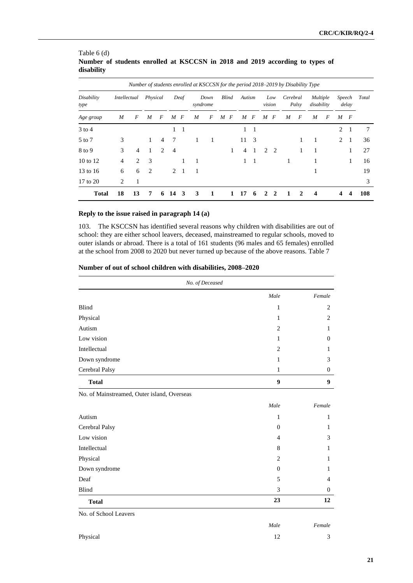|                     |              |    |          |                |                |                | Number of students enrolled at KSCCSN for the period 2018-2019 by Disability Type |      |              |                  |        |   |              |              |          |       |                               |   |        |       |       |
|---------------------|--------------|----|----------|----------------|----------------|----------------|-----------------------------------------------------------------------------------|------|--------------|------------------|--------|---|--------------|--------------|----------|-------|-------------------------------|---|--------|-------|-------|
| Disability<br>type  | Intellectual |    | Physical |                |                | Deaf           | syndrome                                                                          | Down | <b>Blind</b> |                  | Autism |   | vision       | Low          | Cerebral | Palsy | <i>Multiple</i><br>disability |   | Speech | delay | Total |
| Age group           | M            | F  | M        | F              | M              | F              | M                                                                                 | F    | M            | $\boldsymbol{F}$ | M      | F | M            | F            | M        | F     | M                             | F | M      | F     |       |
| $3$ to 4            |              |    |          |                | 1              |                |                                                                                   |      |              |                  | 1      | 1 |              |              |          |       |                               |   | 2      |       | 7     |
| 5 to 7              | 3            |    | 1        | $\overline{4}$ | 7              |                | 1                                                                                 | 1    |              |                  | 11     | 3 |              |              |          | 1     | 1                             |   | 2      | -1    | 36    |
| 8 to 9              | 3            | 4  | 1        | $\mathcal{L}$  | $\overline{4}$ |                |                                                                                   |      |              | 1                | 4      |   |              | 2 2          |          | 1     |                               |   |        | 1     | 27    |
| $10 \text{ to } 12$ | 4            | 2  | 3        |                |                | 1              | 1                                                                                 |      |              |                  | 1      | 1 |              |              | 1        |       |                               |   |        | 1     | 16    |
| 13 to 16            | 6            | 6  | 2        |                | 2              | $\overline{1}$ | 1                                                                                 |      |              |                  |        |   |              |              |          |       |                               |   |        |       | 19    |
| 17 to 20            | 2            | 1  |          |                |                |                |                                                                                   |      |              |                  |        |   |              |              |          |       |                               |   |        |       | 3     |
| <b>Total</b>        | 18           | 13 | 7        | 6              | 14             | 3              | 3                                                                                 | 1    |              | 1                | 17     | 6 | $\mathbf{2}$ | $\mathbf{2}$ |          | 2     | $\boldsymbol{4}$              |   | 4      | 4     | 108   |

## Table 6 (d) **Number of students enrolled at KSCCSN in 2018 and 2019 according to types of disability**

## **Reply to the issue raised in paragraph 14 (a)**

103. The KSCCSN has identified several reasons why children with disabilities are out of school: they are either school leavers, deceased, mainstreamed to regular schools, moved to outer islands or abroad. There is a total of 161 students (96 males and 65 females) enrolled at the school from 2008 to 2020 but never turned up because of the above reasons. Table 7

|  |  |  |  |  |  |  | Number of out of school children with disabilities, 2008-2020 |  |  |
|--|--|--|--|--|--|--|---------------------------------------------------------------|--|--|
|--|--|--|--|--|--|--|---------------------------------------------------------------|--|--|

|                                             | No. of Deceased |                  |
|---------------------------------------------|-----------------|------------------|
|                                             | Male            | Female           |
| Blind                                       | $\mathbf{1}$    | $\overline{c}$   |
| Physical                                    | $\mathbf{1}$    | $\overline{c}$   |
| Autism                                      | $\overline{c}$  | 1                |
| Low vision                                  | $\mathbf{1}$    | $\boldsymbol{0}$ |
| Intellectual                                | $\overline{2}$  | 1                |
| Down syndrome                               | $\mathbf{1}$    | 3                |
| Cerebral Palsy                              | $\mathbf{1}$    | $\mathbf{0}$     |
| <b>Total</b>                                | 9               | 9                |
| No. of Mainstreamed, Outer island, Overseas |                 |                  |
|                                             | Male            | Female           |
| Autism                                      | $\mathbf{1}$    | $\mathbf{1}$     |
| Cerebral Palsy                              | $\mathbf{0}$    | 1                |
| Low vision                                  | $\overline{4}$  | 3                |
| Intellectual                                | 8               | $\mathbf{1}$     |
| Physical                                    | 2               | $\mathbf{1}$     |
| Down syndrome                               | $\mathbf{0}$    | 1                |
| Deaf                                        | 5               | $\overline{4}$   |
| <b>Blind</b>                                | 3               | $\theta$         |
| <b>Total</b>                                | 23              | 12               |
| No. of School Leavers                       |                 |                  |
|                                             | Male            | Female           |
| Physical                                    | 12              | 3                |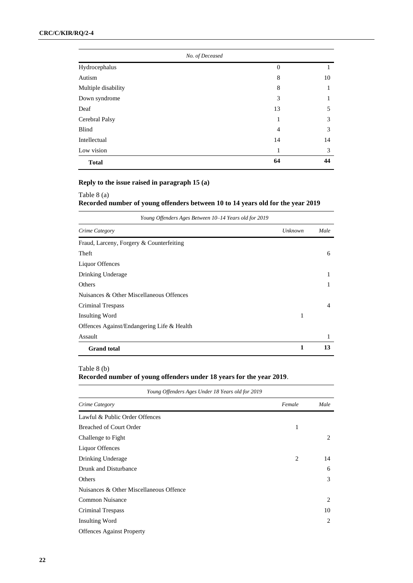| No. of Deceased     |    |    |
|---------------------|----|----|
| Hydrocephalus       | 0  |    |
| Autism              | 8  | 10 |
| Multiple disability | 8  |    |
| Down syndrome       | 3  |    |
| Deaf                | 13 | 5  |
| Cerebral Palsy      | 1  | 3  |
| Blind               | 4  | 3  |
| Intellectual        | 14 | 14 |
| Low vision          | 1  | 3  |
| <b>Total</b>        | 64 | 44 |

## **Reply to the issue raised in paragraph 15 (a)**

## Table 8 (a) **Recorded number of young offenders between 10 to 14 years old for the year 2019**

| Young Offenders Ages Between 10–14 Years old for 2019 |         |      |  |  |  |  |  |  |  |
|-------------------------------------------------------|---------|------|--|--|--|--|--|--|--|
| Crime Category                                        | Unknown | Male |  |  |  |  |  |  |  |
| Fraud, Larceny, Forgery & Counterfeiting              |         |      |  |  |  |  |  |  |  |
| Theft                                                 |         | 6    |  |  |  |  |  |  |  |
| Liquor Offences                                       |         |      |  |  |  |  |  |  |  |
| Drinking Underage                                     |         | н    |  |  |  |  |  |  |  |
| Others                                                |         |      |  |  |  |  |  |  |  |
| Nuisances & Other Miscellaneous Offences              |         |      |  |  |  |  |  |  |  |
| <b>Criminal Trespass</b>                              |         | 4    |  |  |  |  |  |  |  |
| <b>Insulting Word</b>                                 | 1       |      |  |  |  |  |  |  |  |
| Offences Against/Endangering Life & Health            |         |      |  |  |  |  |  |  |  |
| Assault                                               |         | 1    |  |  |  |  |  |  |  |
| <b>Grand</b> total                                    | 1       | 13   |  |  |  |  |  |  |  |

## Table 8 (b)

**Recorded number of young offenders under 18 years for the year 2019**.

| Young Offenders Ages Under 18 Years old for 2019 |        |      |
|--------------------------------------------------|--------|------|
| Crime Category                                   | Female | Male |
| Lawful & Public Order Offences                   |        |      |
| <b>Breached of Court Order</b>                   | 1      |      |
| Challenge to Fight                               |        | 2    |
| Liquor Offences                                  |        |      |
| Drinking Underage                                | 2      | 14   |
| Drunk and Disturbance                            |        | 6    |
| Others                                           |        | 3    |
| Nuisances & Other Miscellaneous Offence          |        |      |
| <b>Common Nuisance</b>                           |        | 2    |
| Criminal Trespass                                |        | 10   |
| <b>Insulting Word</b>                            |        | 2    |
| <b>Offences Against Property</b>                 |        |      |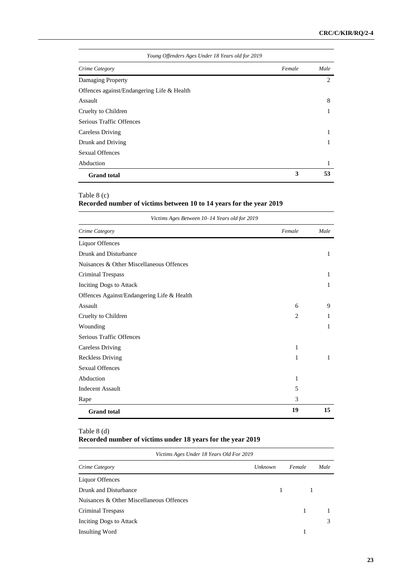| Young Offenders Ages Under 18 Years old for 2019 |        |      |  |  |  |  |  |
|--------------------------------------------------|--------|------|--|--|--|--|--|
| Crime Category                                   | Female | Male |  |  |  |  |  |
| Damaging Property                                |        | 2    |  |  |  |  |  |
| Offences against/Endangering Life & Health       |        |      |  |  |  |  |  |
| Assault                                          |        | 8    |  |  |  |  |  |
| Cruelty to Children                              |        |      |  |  |  |  |  |
| Serious Traffic Offences                         |        |      |  |  |  |  |  |
| <b>Careless Driving</b>                          |        |      |  |  |  |  |  |
| Drunk and Driving                                |        |      |  |  |  |  |  |
| <b>Sexual Offences</b>                           |        |      |  |  |  |  |  |
| Abduction                                        |        |      |  |  |  |  |  |
| <b>Grand</b> total                               | 3      | 53   |  |  |  |  |  |

## Table 8 (c)

## **Recorded number of victims between 10 to 14 years for the year 2019**

| Victims Ages Between 10-14 Years old for 2019 |                |      |  |  |  |  |
|-----------------------------------------------|----------------|------|--|--|--|--|
| Crime Category                                | Female         | Male |  |  |  |  |
| Liquor Offences                               |                |      |  |  |  |  |
| Drunk and Disturbance                         |                | 1    |  |  |  |  |
| Nuisances & Other Miscellaneous Offences      |                |      |  |  |  |  |
| <b>Criminal Trespass</b>                      |                | 1    |  |  |  |  |
| Inciting Dogs to Attack                       |                | 1    |  |  |  |  |
| Offences Against/Endangering Life & Health    |                |      |  |  |  |  |
| Assault                                       | 6              | 9    |  |  |  |  |
| Cruelty to Children                           | $\overline{c}$ | 1    |  |  |  |  |
| Wounding                                      |                | 1    |  |  |  |  |
| Serious Traffic Offences                      |                |      |  |  |  |  |
| <b>Careless Driving</b>                       | 1              |      |  |  |  |  |
| <b>Reckless Driving</b>                       | 1              | 1    |  |  |  |  |
| <b>Sexual Offences</b>                        |                |      |  |  |  |  |
| Abduction                                     | 1              |      |  |  |  |  |
| <b>Indecent Assault</b>                       | 5              |      |  |  |  |  |
| Rape                                          | 3              |      |  |  |  |  |
| <b>Grand</b> total                            | 19             | 15   |  |  |  |  |

## Table 8 (d)

# **Recorded number of victims under 18 years for the year 2019**

| Victims Ages Under 18 Years Old For 2019 |         |   |        |      |  |  |  |  |  |  |
|------------------------------------------|---------|---|--------|------|--|--|--|--|--|--|
| Crime Category                           | Unknown |   | Female | Male |  |  |  |  |  |  |
| Liquor Offences                          |         |   |        |      |  |  |  |  |  |  |
| Drunk and Disturbance                    |         | 1 |        |      |  |  |  |  |  |  |
| Nuisances & Other Miscellaneous Offences |         |   |        |      |  |  |  |  |  |  |
| Criminal Trespass                        |         |   |        |      |  |  |  |  |  |  |
| Inciting Dogs to Attack                  |         |   |        |      |  |  |  |  |  |  |
| Insulting Word                           |         |   |        |      |  |  |  |  |  |  |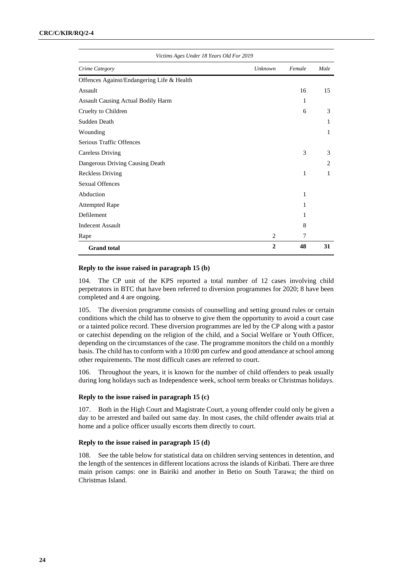| Victims Ages Under 18 Years Old For 2019   |                |        |                |  |  |  |  |  |  |  |
|--------------------------------------------|----------------|--------|----------------|--|--|--|--|--|--|--|
| Crime Category                             | Unknown        | Female | Male           |  |  |  |  |  |  |  |
| Offences Against/Endangering Life & Health |                |        |                |  |  |  |  |  |  |  |
| Assault                                    |                | 16     | 15             |  |  |  |  |  |  |  |
| Assault Causing Actual Bodily Harm         |                | 1      |                |  |  |  |  |  |  |  |
| Cruelty to Children                        |                | 6      | 3              |  |  |  |  |  |  |  |
| Sudden Death                               |                |        | 1              |  |  |  |  |  |  |  |
| Wounding                                   |                |        | 1              |  |  |  |  |  |  |  |
| Serious Traffic Offences                   |                |        |                |  |  |  |  |  |  |  |
| <b>Careless Driving</b>                    |                | 3      | 3              |  |  |  |  |  |  |  |
| Dangerous Driving Causing Death            |                |        | $\overline{c}$ |  |  |  |  |  |  |  |
| <b>Reckless Driving</b>                    |                | 1      | 1              |  |  |  |  |  |  |  |
| <b>Sexual Offences</b>                     |                |        |                |  |  |  |  |  |  |  |
| Abduction                                  |                | 1      |                |  |  |  |  |  |  |  |
| <b>Attempted Rape</b>                      |                | 1      |                |  |  |  |  |  |  |  |
| Defilement                                 |                | 1      |                |  |  |  |  |  |  |  |
| <b>Indecent Assault</b>                    |                | 8      |                |  |  |  |  |  |  |  |
| Rape                                       | $\overline{c}$ | 7      |                |  |  |  |  |  |  |  |
| <b>Grand</b> total                         | $\mathbf{2}$   | 48     | 31             |  |  |  |  |  |  |  |

#### **Reply to the issue raised in paragraph 15 (b)**

104. The CP unit of the KPS reported a total number of 12 cases involving child perpetrators in BTC that have been referred to diversion programmes for 2020; 8 have been completed and 4 are ongoing.

105. The diversion programme consists of counselling and setting ground rules or certain conditions which the child has to observe to give them the opportunity to avoid a court case or a tainted police record. These diversion programmes are led by the CP along with a pastor or catechist depending on the religion of the child, and a Social Welfare or Youth Officer, depending on the circumstances of the case. The programme monitors the child on a monthly basis. The child has to conform with a 10:00 pm curfew and good attendance at school among other requirements. The most difficult cases are referred to court.

106. Throughout the years, it is known for the number of child offenders to peak usually during long holidays such as Independence week, school term breaks or Christmas holidays.

#### **Reply to the issue raised in paragraph 15 (c)**

107. Both in the High Court and Magistrate Court, a young offender could only be given a day to be arrested and bailed out same day. In most cases, the child offender awaits trial at home and a police officer usually escorts them directly to court.

#### **Reply to the issue raised in paragraph 15 (d)**

108. See the table below for statistical data on children serving sentences in detention, and the length of the sentences in different locations across the islands of Kiribati. There are three main prison camps: one in Bairiki and another in Betio on South Tarawa; the third on Christmas Island.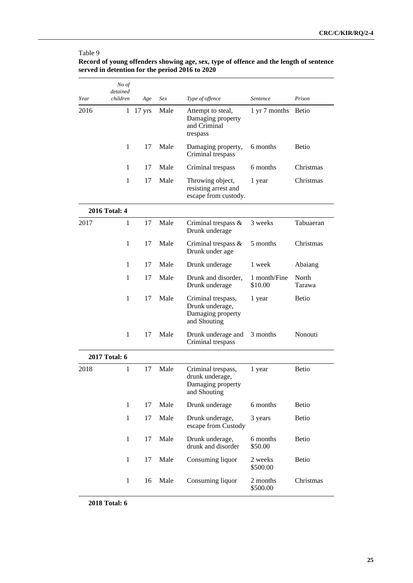|      | No of<br>detained |                      |      |                                                                            |                         |                 |
|------|-------------------|----------------------|------|----------------------------------------------------------------------------|-------------------------|-----------------|
| Year | children          | Age                  | Sex  | Type of offence                                                            | Sentence                | Prison          |
| 2016 |                   | $1 \t17 \text{ yrs}$ | Male | Attempt to steal,<br>Damaging property<br>and Criminal<br>trespass         | 1 yr 7 months           | <b>Betio</b>    |
|      | 1                 | 17                   | Male | Damaging property,<br>Criminal trespass                                    | 6 months                | <b>Betio</b>    |
|      | 1                 | 17                   | Male | Criminal trespass                                                          | 6 months                | Christmas       |
|      | $\mathbf{1}$      | 17                   | Male | Throwing object,<br>resisting arrest and<br>escape from custody.           | 1 year                  | Christmas       |
|      | 2016 Total: 4     |                      |      |                                                                            |                         |                 |
| 2017 | 1                 | 17                   | Male | Criminal trespass $\&$<br>Drunk underage                                   | 3 weeks                 | Tabuaeran       |
|      | 1                 | 17                   | Male | Criminal trespass $\&$<br>Drunk under age                                  | 5 months                | Christmas       |
|      | $\mathbf{1}$      | 17                   | Male | Drunk underage                                                             | 1 week                  | Abaiang         |
|      | 1                 | 17                   | Male | Drunk and disorder,<br>Drunk underage                                      | 1 month/Fine<br>\$10.00 | North<br>Tarawa |
|      | $\mathbf{1}$      | 17                   | Male | Criminal trespass,<br>Drunk underage,<br>Damaging property<br>and Shouting | 1 year                  | <b>Betio</b>    |
|      | $\mathbf{1}$      | 17                   | Male | Drunk underage and<br>Criminal trespass                                    | 3 months                | Nonouti         |
|      | 2017 Total: 6     |                      |      |                                                                            |                         |                 |
| 2018 | 1                 | 17                   | Male | Criminal trespass,<br>drunk underage,<br>Damaging property<br>and Shouting | 1 year                  | <b>Betio</b>    |
|      | $\mathbf{1}$      | 17                   | Male | Drunk underage                                                             | 6 months                | <b>Betio</b>    |
|      | $\mathbf{1}$      | 17                   | Male | Drunk underage,<br>escape from Custody                                     | 3 years                 | <b>Betio</b>    |
|      | 1                 | 17                   | Male | Drunk underage,<br>drunk and disorder                                      | 6 months<br>\$50.00     | Betio           |
|      | $\mathbf{1}$      | 17                   | Male | Consuming liquor                                                           | 2 weeks<br>\$500.00     | <b>Betio</b>    |
|      | 1                 | 16                   | Male | Consuming liquor                                                           | 2 months<br>\$500.00    | Christmas       |

## Table 9 **Record of young offenders showing age, sex, type of offence and the length of sentence served in detention for the period 2016 to 2020**

**2018 Total: 6**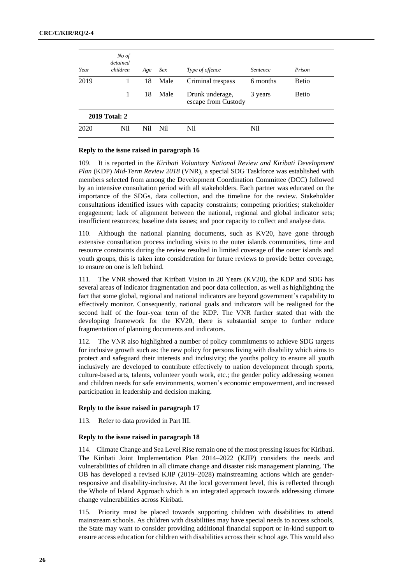| Year | No of<br>detained<br>children | Age | <i>Sex</i> | Type of offence                        | <i>Sentence</i> | Prison       |
|------|-------------------------------|-----|------------|----------------------------------------|-----------------|--------------|
| 2019 |                               | 18  | Male       | Criminal trespass                      | 6 months        | <b>Betio</b> |
|      | 1                             | 18  | Male       | Drunk underage,<br>escape from Custody | 3 years         | <b>Betio</b> |
|      | <b>2019 Total: 2</b>          |     |            |                                        |                 |              |
| 2020 | N <sub>i</sub>                | Nil | Nil        | Ni1                                    | Nil             |              |

#### **Reply to the issue raised in paragraph 16**

109. It is reported in the *Kiribati Voluntary National Review and Kiribati Development Plan* (KDP) *Mid-Term Review 2018* (VNR), a special SDG Taskforce was established with members selected from among the Development Coordination Committee (DCC) followed by an intensive consultation period with all stakeholders. Each partner was educated on the importance of the SDGs, data collection, and the timeline for the review. Stakeholder consultations identified issues with capacity constraints; competing priorities; stakeholder engagement; lack of alignment between the national, regional and global indicator sets; insufficient resources; baseline data issues; and poor capacity to collect and analyse data.

110. Although the national planning documents, such as KV20, have gone through extensive consultation process including visits to the outer islands communities, time and resource constraints during the review resulted in limited coverage of the outer islands and youth groups, this is taken into consideration for future reviews to provide better coverage, to ensure on one is left behind.

111. The VNR showed that Kiribati Vision in 20 Years (KV20), the KDP and SDG has several areas of indicator fragmentation and poor data collection, as well as highlighting the fact that some global, regional and national indicators are beyond government's capability to effectively monitor. Consequently, national goals and indicators will be realigned for the second half of the four-year term of the KDP. The VNR further stated that with the developing framework for the KV20, there is substantial scope to further reduce fragmentation of planning documents and indicators.

112. The VNR also highlighted a number of policy commitments to achieve SDG targets for inclusive growth such as: the new policy for persons living with disability which aims to protect and safeguard their interests and inclusivity; the youths policy to ensure all youth inclusively are developed to contribute effectively to nation development through sports, culture-based arts, talents, volunteer youth work, etc.; the gender policy addressing women and children needs for safe environments, women's economic empowerment, and increased participation in leadership and decision making.

#### **Reply to the issue raised in paragraph 17**

113. Refer to data provided in Part III.

#### **Reply to the issue raised in paragraph 18**

114. Climate Change and Sea Level Rise remain one of the most pressing issues for Kiribati. The Kiribati Joint Implementation Plan 2014–2022 (KJIP) considers the needs and vulnerabilities of children in all climate change and disaster risk management planning. The OB has developed a revised KJIP (2019–2028) mainstreaming actions which are genderresponsive and disability-inclusive. At the local government level, this is reflected through the Whole of Island Approach which is an integrated approach towards addressing climate change vulnerabilities across Kiribati.

115. Priority must be placed towards supporting children with disabilities to attend mainstream schools. As children with disabilities may have special needs to access schools, the State may want to consider providing additional financial support or in-kind support to ensure access education for children with disabilities across their school age. This would also